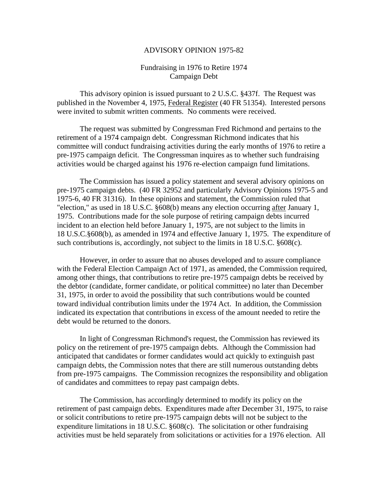## ADVISORY OPINION 1975-82

## Fundraising in 1976 to Retire 1974 Campaign Debt

This advisory opinion is issued pursuant to 2 U.S.C. §437f. The Request was published in the November 4, 1975, Federal Register (40 FR 51354). Interested persons were invited to submit written comments. No comments were received.

The request was submitted by Congressman Fred Richmond and pertains to the retirement of a 1974 campaign debt. Congressman Richmond indicates that his committee will conduct fundraising activities during the early months of 1976 to retire a pre-1975 campaign deficit. The Congressman inquires as to whether such fundraising activities would be charged against his 1976 re-election campaign fund limitations.

The Commission has issued a policy statement and several advisory opinions on pre-1975 campaign debts. (40 FR 32952 and particularly Advisory Opinions 1975-5 and 1975-6, 40 FR 31316). In these opinions and statement, the Commission ruled that "election," as used in 18 U.S.C. §608(b) means any election occurring after January 1, 1975. Contributions made for the sole purpose of retiring campaign debts incurred incident to an election held before January 1, 1975, are not subject to the limits in 18 U.S.C.§608(b), as amended in 1974 and effective January 1, 1975. The expenditure of such contributions is, accordingly, not subject to the limits in 18 U.S.C. §608(c).

However, in order to assure that no abuses developed and to assure compliance with the Federal Election Campaign Act of 1971, as amended, the Commission required, among other things, that contributions to retire pre-1975 campaign debts be received by the debtor (candidate, former candidate, or political committee) no later than December 31, 1975, in order to avoid the possibility that such contributions would be counted toward individual contribution limits under the 1974 Act. In addition, the Commission indicated its expectation that contributions in excess of the amount needed to retire the debt would be returned to the donors.

In light of Congressman Richmond's request, the Commission has reviewed its policy on the retirement of pre-1975 campaign debts. Although the Commission had anticipated that candidates or former candidates would act quickly to extinguish past campaign debts, the Commission notes that there are still numerous outstanding debts from pre-1975 campaigns. The Commission recognizes the responsibility and obligation of candidates and committees to repay past campaign debts.

The Commission, has accordingly determined to modify its policy on the retirement of past campaign debts. Expenditures made after December 31, 1975, to raise or solicit contributions to retire pre-1975 campaign debts will not be subject to the expenditure limitations in 18 U.S.C. §608(c). The solicitation or other fundraising activities must be held separately from solicitations or activities for a 1976 election. All